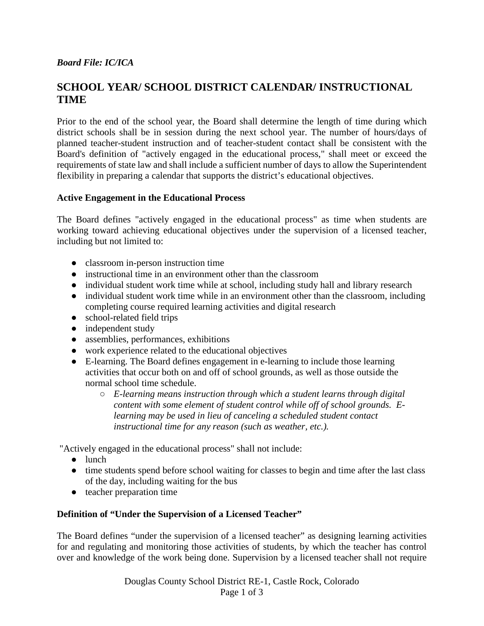# *Board File: IC/ICA*

# **SCHOOL YEAR/ SCHOOL DISTRICT CALENDAR/ INSTRUCTIONAL TIME**

Prior to the end of the school year, the Board shall determine the length of time during which district schools shall be in session during the next school year. The number of hours/days of planned teacher-student instruction and of teacher-student contact shall be consistent with the Board's definition of "actively engaged in the educational process," shall meet or exceed the requirements of state law and shall include a sufficient number of days to allow the Superintendent flexibility in preparing a calendar that supports the district's educational objectives.

## **Active Engagement in the Educational Process**

The Board defines "actively engaged in the educational process" as time when students are working toward achieving educational objectives under the supervision of a licensed teacher, including but not limited to:

- classroom in-person instruction time
- instructional time in an environment other than the classroom
- individual student work time while at school, including study hall and library research
- individual student work time while in an environment other than the classroom, including completing course required learning activities and digital research
- school-related field trips
- independent study
- assemblies, performances, exhibitions
- work experience related to the educational objectives
- E-learning. The Board defines engagement in e-learning to include those learning activities that occur both on and off of school grounds, as well as those outside the normal school time schedule.
	- *E-learning means instruction through which a student learns through digital content with some element of student control while off of school grounds. Elearning may be used in lieu of canceling a scheduled student contact instructional time for any reason (such as weather, etc.).*

"Actively engaged in the educational process" shall not include:

- lunch
- time students spend before school waiting for classes to begin and time after the last class of the day, including waiting for the bus
- teacher preparation time

# **Definition of "Under the Supervision of a Licensed Teacher"**

The Board defines "under the supervision of a licensed teacher" as designing learning activities for and regulating and monitoring those activities of students, by which the teacher has control over and knowledge of the work being done. Supervision by a licensed teacher shall not require

> Douglas County School District RE-1, Castle Rock, Colorado Page 1 of 3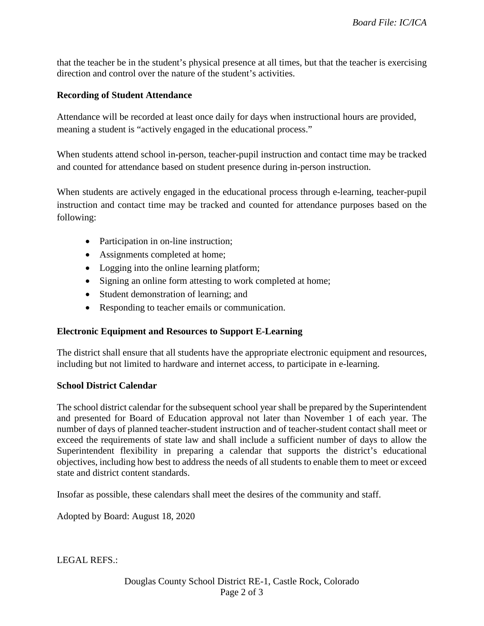that the teacher be in the student's physical presence at all times, but that the teacher is exercising direction and control over the nature of the student's activities.

## **Recording of Student Attendance**

Attendance will be recorded at least once daily for days when instructional hours are provided, meaning a student is "actively engaged in the educational process."

When students attend school in-person, teacher-pupil instruction and contact time may be tracked and counted for attendance based on student presence during in-person instruction.

When students are actively engaged in the educational process through e-learning, teacher-pupil instruction and contact time may be tracked and counted for attendance purposes based on the following:

- Participation in on-line instruction;
- Assignments completed at home;
- Logging into the online learning platform;
- Signing an online form attesting to work completed at home;
- Student demonstration of learning; and
- Responding to teacher emails or communication.

## **Electronic Equipment and Resources to Support E-Learning**

The district shall ensure that all students have the appropriate electronic equipment and resources, including but not limited to hardware and internet access, to participate in e-learning.

#### **School District Calendar**

The school district calendar for the subsequent school year shall be prepared by the Superintendent and presented for Board of Education approval not later than November 1 of each year. The number of days of planned teacher-student instruction and of teacher-student contact shall meet or exceed the requirements of state law and shall include a sufficient number of days to allow the Superintendent flexibility in preparing a calendar that supports the district's educational objectives, including how best to address the needs of all students to enable them to meet or exceed state and district content standards.

Insofar as possible, these calendars shall meet the desires of the community and staff.

Adopted by Board: August 18, 2020

LEGAL REFS.: